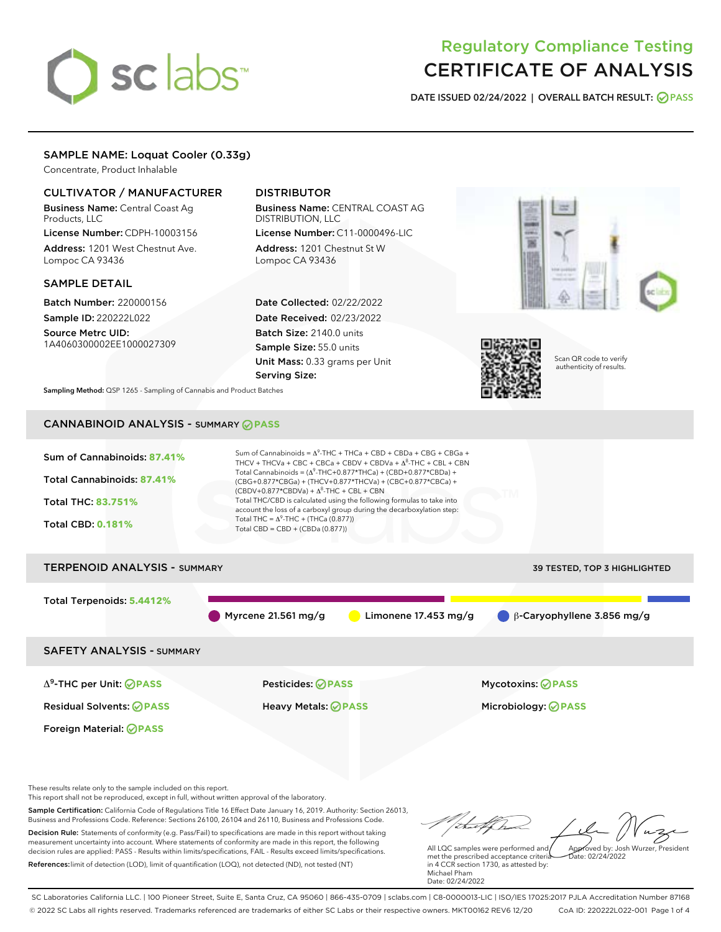# sclabs<sup>\*</sup>

# Regulatory Compliance Testing CERTIFICATE OF ANALYSIS

DATE ISSUED 02/24/2022 | OVERALL BATCH RESULT: @ PASS

# SAMPLE NAME: Loquat Cooler (0.33g)

Concentrate, Product Inhalable

# CULTIVATOR / MANUFACTURER

Business Name: Central Coast Ag Products, LLC

License Number: CDPH-10003156 Address: 1201 West Chestnut Ave. Lompoc CA 93436

#### SAMPLE DETAIL

Batch Number: 220000156 Sample ID: 220222L022

Source Metrc UID: 1A4060300002EE1000027309

# DISTRIBUTOR

Business Name: CENTRAL COAST AG DISTRIBUTION, LLC License Number: C11-0000496-LIC

Address: 1201 Chestnut St W Lompoc CA 93436

Date Collected: 02/22/2022 Date Received: 02/23/2022 Batch Size: 2140.0 units Sample Size: 55.0 units Unit Mass: 0.33 grams per Unit Serving Size:





Scan QR code to verify authenticity of results.

Sampling Method: QSP 1265 - Sampling of Cannabis and Product Batches

# CANNABINOID ANALYSIS - SUMMARY **PASS**



Foreign Material: **PASS**

Residual Solvents: **PASS** Heavy Metals: **PASS** Microbiology: **PASS**

These results relate only to the sample included on this report.

This report shall not be reproduced, except in full, without written approval of the laboratory.

Sample Certification: California Code of Regulations Title 16 Effect Date January 16, 2019. Authority: Section 26013, Business and Professions Code. Reference: Sections 26100, 26104 and 26110, Business and Professions Code. Decision Rule: Statements of conformity (e.g. Pass/Fail) to specifications are made in this report without taking measurement uncertainty into account. Where statements of conformity are made in this report, the following

decision rules are applied: PASS - Results within limits/specifications, FAIL - Results exceed limits/specifications. References:limit of detection (LOD), limit of quantification (LOQ), not detected (ND), not tested (NT)

Approved by: Josh Wurzer, President

 $ate: 02/24/2022$ 

All LQC samples were performed and met the prescribed acceptance criteria in 4 CCR section 1730, as attested by: Michael Pham Date: 02/24/2022

SC Laboratories California LLC. | 100 Pioneer Street, Suite E, Santa Cruz, CA 95060 | 866-435-0709 | sclabs.com | C8-0000013-LIC | ISO/IES 17025:2017 PJLA Accreditation Number 87168 © 2022 SC Labs all rights reserved. Trademarks referenced are trademarks of either SC Labs or their respective owners. MKT00162 REV6 12/20 CoA ID: 220222L022-001 Page 1 of 4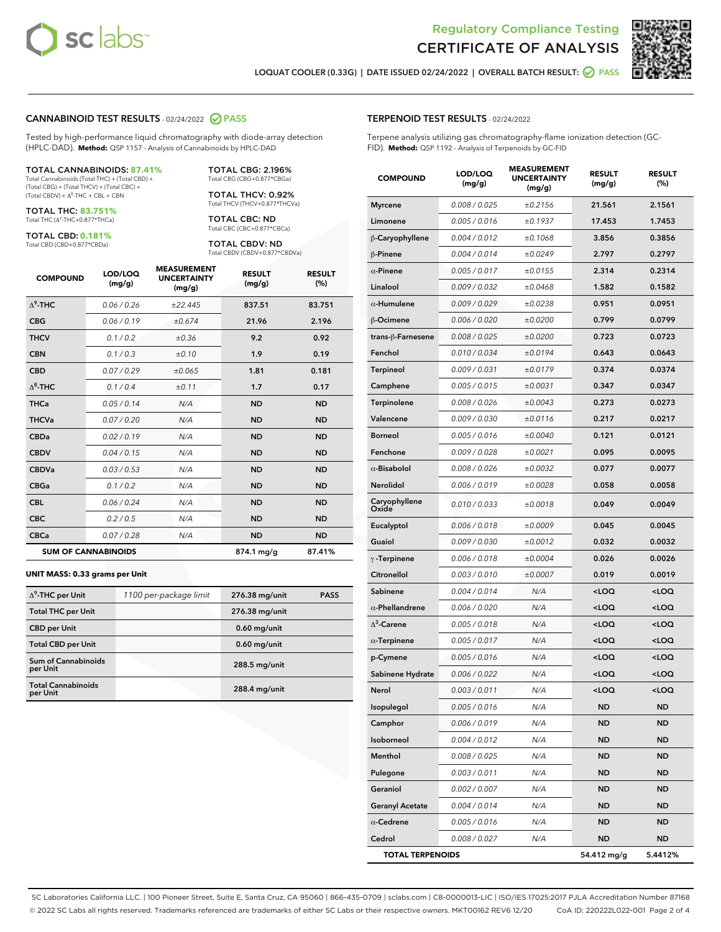



LOQUAT COOLER (0.33G) | DATE ISSUED 02/24/2022 | OVERALL BATCH RESULT: @ PASS

# CANNABINOID TEST RESULTS - 02/24/2022 PASS

Tested by high-performance liquid chromatography with diode-array detection (HPLC-DAD). **Method:** QSP 1157 - Analysis of Cannabinoids by HPLC-DAD

#### TOTAL CANNABINOIDS: **87.41%**

Total Cannabinoids (Total THC) + (Total CBD) + (Total CBG) + (Total THCV) + (Total CBC) +  $(Total CBDV) +  $\Delta^8$ -THC + CBL + CBN$ 

TOTAL THC: **83.751%** Total THC (Δ<sup>9</sup> -THC+0.877\*THCa)

TOTAL CBD: **0.181%**

Total CBD (CBD+0.877\*CBDa)

TOTAL CBG: 2.196% Total CBG (CBG+0.877\*CBGa)

TOTAL THCV: 0.92% Total THCV (THCV+0.877\*THCVa)

TOTAL CBC: ND Total CBC (CBC+0.877\*CBCa)

TOTAL CBDV: ND Total CBDV (CBDV+0.877\*CBDVa)

| <b>COMPOUND</b>  | LOD/LOQ<br>(mg/g)          | <b>MEASUREMENT</b><br><b>UNCERTAINTY</b><br>(mg/g) | <b>RESULT</b><br>(mg/g) | <b>RESULT</b><br>(%) |
|------------------|----------------------------|----------------------------------------------------|-------------------------|----------------------|
| $\Lambda^9$ -THC | 0.06/0.26                  | ±22.445                                            | 837.51                  | 83.751               |
| <b>CBG</b>       | 0.06/0.19                  | ±0.674                                             | 21.96                   | 2.196                |
| <b>THCV</b>      | 0.1/0.2                    | ±0.36                                              | 9.2                     | 0.92                 |
| <b>CBN</b>       | 0.1/0.3                    | ±0.10                                              | 1.9                     | 0.19                 |
| <b>CBD</b>       | 0.07/0.29                  | ±0.065                                             | 1.81                    | 0.181                |
| $\Delta^8$ -THC  | 0.1 / 0.4                  | ±0.11                                              | 1.7                     | 0.17                 |
| <b>THCa</b>      | 0.05/0.14                  | N/A                                                | <b>ND</b>               | <b>ND</b>            |
| <b>THCVa</b>     | 0.07 / 0.20                | N/A                                                | <b>ND</b>               | <b>ND</b>            |
| <b>CBDa</b>      | 0.02/0.19                  | N/A                                                | <b>ND</b>               | <b>ND</b>            |
| <b>CBDV</b>      | 0.04 / 0.15                | N/A                                                | <b>ND</b>               | <b>ND</b>            |
| <b>CBDVa</b>     | 0.03/0.53                  | N/A                                                | <b>ND</b>               | <b>ND</b>            |
| <b>CBGa</b>      | 0.1 / 0.2                  | N/A                                                | <b>ND</b>               | <b>ND</b>            |
| <b>CBL</b>       | 0.06 / 0.24                | N/A                                                | <b>ND</b>               | <b>ND</b>            |
| <b>CBC</b>       | 0.2 / 0.5                  | N/A                                                | <b>ND</b>               | <b>ND</b>            |
| <b>CBCa</b>      | 0.07/0.28                  | N/A                                                | <b>ND</b>               | <b>ND</b>            |
|                  | <b>SUM OF CANNABINOIDS</b> |                                                    | 874.1 mg/g              | 87.41%               |

#### **UNIT MASS: 0.33 grams per Unit**

| $\Delta^9$ -THC per Unit              | 1100 per-package limit | 276.38 mg/unit | <b>PASS</b> |
|---------------------------------------|------------------------|----------------|-------------|
| <b>Total THC per Unit</b>             |                        | 276.38 mg/unit |             |
| <b>CBD</b> per Unit                   |                        | $0.60$ mg/unit |             |
| <b>Total CBD per Unit</b>             |                        | $0.60$ mg/unit |             |
| Sum of Cannabinoids<br>per Unit       |                        | 288.5 mg/unit  |             |
| <b>Total Cannabinoids</b><br>per Unit |                        | 288.4 mg/unit  |             |

| <b>TERPENOID TEST RESULTS</b> - 02/24/2022 |
|--------------------------------------------|
|--------------------------------------------|

Terpene analysis utilizing gas chromatography-flame ionization detection (GC-FID). **Method:** QSP 1192 - Analysis of Terpenoids by GC-FID

| <b>COMPOUND</b>         | LOD/LOQ<br>(mg/g) | <b>MEASUREMENT</b><br><b>UNCERTAINTY</b><br>(mg/g) | <b>RESULT</b><br>(mg/g)                          | <b>RESULT</b><br>(%) |
|-------------------------|-------------------|----------------------------------------------------|--------------------------------------------------|----------------------|
| <b>Myrcene</b>          | 0.008 / 0.025     | ±0.2156                                            | 21.561                                           | 2.1561               |
| Limonene                | 0.005 / 0.016     | ±0.1937                                            | 17.453                                           | 1.7453               |
| β-Caryophyllene         | 0.004 / 0.012     | ±0.1068                                            | 3.856                                            | 0.3856               |
| $\beta$ -Pinene         | 0.004 / 0.014     | ±0.0249                                            | 2.797                                            | 0.2797               |
| $\alpha$ -Pinene        | 0.005 / 0.017     | ±0.0155                                            | 2.314                                            | 0.2314               |
| Linalool                | 0.009 / 0.032     | ±0.0468                                            | 1.582                                            | 0.1582               |
| $\alpha$ -Humulene      | 0.009/0.029       | ±0.0238                                            | 0.951                                            | 0.0951               |
| <b>B-Ocimene</b>        | 0.006 / 0.020     | ±0.0200                                            | 0.799                                            | 0.0799               |
| trans-β-Farnesene       | 0.008 / 0.025     | ±0.0200                                            | 0.723                                            | 0.0723               |
| Fenchol                 | 0.010 / 0.034     | ±0.0194                                            | 0.643                                            | 0.0643               |
| Terpineol               | 0.009 / 0.031     | ±0.0179                                            | 0.374                                            | 0.0374               |
| Camphene                | 0.005 / 0.015     | ±0.0031                                            | 0.347                                            | 0.0347               |
| <b>Terpinolene</b>      | 0.008 / 0.026     | ±0.0043                                            | 0.273                                            | 0.0273               |
| Valencene               | 0.009 / 0.030     | ±0.0116                                            | 0.217                                            | 0.0217               |
| <b>Borneol</b>          | 0.005 / 0.016     | ±0.0040                                            | 0.121                                            | 0.0121               |
| Fenchone                | 0.009 / 0.028     | ±0.0021                                            | 0.095                                            | 0.0095               |
| $\alpha$ -Bisabolol     | 0.008 / 0.026     | ±0.0032                                            | 0.077                                            | 0.0077               |
| <b>Nerolidol</b>        | 0.006 / 0.019     | ±0.0028                                            | 0.058                                            | 0.0058               |
| Caryophyllene<br>Oxide  | 0.010 / 0.033     | ±0.0018                                            | 0.049                                            | 0.0049               |
| Eucalyptol              | 0.006 / 0.018     | ±0.0009                                            | 0.045                                            | 0.0045               |
| Guaiol                  | 0.009 / 0.030     | ±0.0012                                            | 0.032                                            | 0.0032               |
| $\gamma$ -Terpinene     | 0.006 / 0.018     | ±0.0004                                            | 0.026                                            | 0.0026               |
| Citronellol             | 0.003 / 0.010     | ±0.0007                                            | 0.019                                            | 0.0019               |
| Sabinene                | 0.004 / 0.014     | N/A                                                | <loq< th=""><th><math>&lt;</math>LOQ</th></loq<> | $<$ LOQ              |
| $\alpha$ -Phellandrene  | 0.006 / 0.020     | N/A                                                | <loq< th=""><th><loq< th=""></loq<></th></loq<>  | <loq< th=""></loq<>  |
| $\Delta^3$ -Carene      | 0.005 / 0.018     | N/A                                                | <loq< th=""><th><loq< th=""></loq<></th></loq<>  | <loq< th=""></loq<>  |
| $\alpha$ -Terpinene     | 0.005 / 0.017     | N/A                                                | $<$ LOQ                                          | $<$ LOQ              |
| p-Cymene                | 0.005 / 0.016     | N/A                                                | <loq< th=""><th><math>&lt;</math>LOQ</th></loq<> | $<$ LOQ              |
| Sabinene Hydrate        | 0.006 / 0.022     | N/A                                                | <loq< th=""><th><loq< th=""></loq<></th></loq<>  | <loq< th=""></loq<>  |
| Nerol                   | 0.003 / 0.011     | N/A                                                | <loq< th=""><th><math>&lt;</math>LOQ</th></loq<> | $<$ LOQ              |
| Isopulegol              | 0.005 / 0.016     | N/A                                                | ND                                               | ND                   |
| Camphor                 | 0.006 / 0.019     | N/A                                                | <b>ND</b>                                        | ND                   |
| Isoborneol              | 0.004 / 0.012     | N/A                                                | ND                                               | <b>ND</b>            |
| Menthol                 | 0.008 / 0.025     | N/A                                                | ND                                               | <b>ND</b>            |
| Pulegone                | 0.003 / 0.011     | N/A                                                | ND                                               | ND                   |
| Geraniol                | 0.002 / 0.007     | N/A                                                | ND                                               | ND                   |
| <b>Geranyl Acetate</b>  | 0.004 / 0.014     | N/A                                                | <b>ND</b>                                        | <b>ND</b>            |
| $\alpha$ -Cedrene       | 0.005 / 0.016     | N/A                                                | ND                                               | <b>ND</b>            |
| Cedrol                  | 0.008 / 0.027     | N/A                                                | <b>ND</b>                                        | ND                   |
| <b>TOTAL TERPENOIDS</b> |                   |                                                    | 54.412 mg/g                                      | 5.4412%              |

SC Laboratories California LLC. | 100 Pioneer Street, Suite E, Santa Cruz, CA 95060 | 866-435-0709 | sclabs.com | C8-0000013-LIC | ISO/IES 17025:2017 PJLA Accreditation Number 87168 © 2022 SC Labs all rights reserved. Trademarks referenced are trademarks of either SC Labs or their respective owners. MKT00162 REV6 12/20 CoA ID: 220222L022-001 Page 2 of 4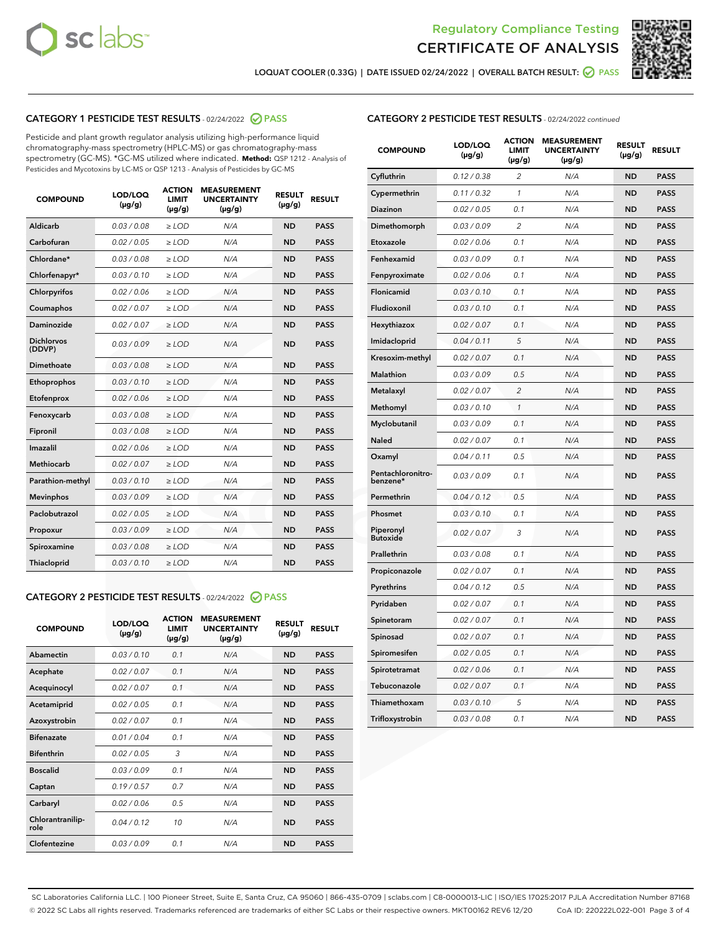



LOQUAT COOLER (0.33G) | DATE ISSUED 02/24/2022 | OVERALL BATCH RESULT: @ PASS

# CATEGORY 1 PESTICIDE TEST RESULTS - 02/24/2022 2 PASS

Pesticide and plant growth regulator analysis utilizing high-performance liquid chromatography-mass spectrometry (HPLC-MS) or gas chromatography-mass spectrometry (GC-MS). \*GC-MS utilized where indicated. **Method:** QSP 1212 - Analysis of Pesticides and Mycotoxins by LC-MS or QSP 1213 - Analysis of Pesticides by GC-MS

| <b>COMPOUND</b>             | LOD/LOQ<br>$(\mu g/g)$ | <b>ACTION</b><br><b>LIMIT</b><br>$(\mu g/g)$ | <b>MEASUREMENT</b><br><b>UNCERTAINTY</b><br>$(\mu g/g)$ | <b>RESULT</b><br>$(\mu g/g)$ | <b>RESULT</b> |
|-----------------------------|------------------------|----------------------------------------------|---------------------------------------------------------|------------------------------|---------------|
| Aldicarb                    | 0.03 / 0.08            | $\ge$ LOD                                    | N/A                                                     | <b>ND</b>                    | <b>PASS</b>   |
| Carbofuran                  | 0.02 / 0.05            | $>$ LOD                                      | N/A                                                     | <b>ND</b>                    | <b>PASS</b>   |
| Chlordane*                  | 0.03 / 0.08            | $\ge$ LOD                                    | N/A                                                     | <b>ND</b>                    | <b>PASS</b>   |
| Chlorfenapyr*               | 0.03 / 0.10            | $\ge$ LOD                                    | N/A                                                     | <b>ND</b>                    | <b>PASS</b>   |
| Chlorpyrifos                | 0.02 / 0.06            | $\ge$ LOD                                    | N/A                                                     | <b>ND</b>                    | <b>PASS</b>   |
| Coumaphos                   | 0.02 / 0.07            | $\ge$ LOD                                    | N/A                                                     | <b>ND</b>                    | <b>PASS</b>   |
| Daminozide                  | 0.02 / 0.07            | $>$ LOD                                      | N/A                                                     | <b>ND</b>                    | <b>PASS</b>   |
| <b>Dichlorvos</b><br>(DDVP) | 0.03/0.09              | $\ge$ LOD                                    | N/A                                                     | <b>ND</b>                    | <b>PASS</b>   |
| Dimethoate                  | 0.03/0.08              | $>$ LOD                                      | N/A                                                     | <b>ND</b>                    | <b>PASS</b>   |
| Ethoprophos                 | 0.03/0.10              | $>$ LOD                                      | N/A                                                     | <b>ND</b>                    | <b>PASS</b>   |
| Etofenprox                  | 0.02 / 0.06            | $\ge$ LOD                                    | N/A                                                     | <b>ND</b>                    | <b>PASS</b>   |
| Fenoxycarb                  | 0.03 / 0.08            | $\ge$ LOD                                    | N/A                                                     | <b>ND</b>                    | <b>PASS</b>   |
| Fipronil                    | 0.03 / 0.08            | $\ge$ LOD                                    | N/A                                                     | <b>ND</b>                    | <b>PASS</b>   |
| Imazalil                    | 0.02 / 0.06            | $>$ LOD                                      | N/A                                                     | <b>ND</b>                    | <b>PASS</b>   |
| Methiocarb                  | 0.02 / 0.07            | $\ge$ LOD                                    | N/A                                                     | <b>ND</b>                    | <b>PASS</b>   |
| Parathion-methyl            | 0.03/0.10              | $\ge$ LOD                                    | N/A                                                     | <b>ND</b>                    | <b>PASS</b>   |
| <b>Mevinphos</b>            | 0.03/0.09              | $\ge$ LOD                                    | N/A                                                     | <b>ND</b>                    | <b>PASS</b>   |
| Paclobutrazol               | 0.02 / 0.05            | $\ge$ LOD                                    | N/A                                                     | <b>ND</b>                    | <b>PASS</b>   |
| Propoxur                    | 0.03/0.09              | $\ge$ LOD                                    | N/A                                                     | <b>ND</b>                    | <b>PASS</b>   |
| Spiroxamine                 | 0.03 / 0.08            | $\ge$ LOD                                    | N/A                                                     | <b>ND</b>                    | <b>PASS</b>   |
| Thiacloprid                 | 0.03/0.10              | $>$ LOD                                      | N/A                                                     | <b>ND</b>                    | <b>PASS</b>   |
|                             |                        |                                              |                                                         |                              |               |

# CATEGORY 2 PESTICIDE TEST RESULTS - 02/24/2022 @ PASS

| <b>COMPOUND</b>          | LOD/LOO<br>$(\mu g/g)$ | <b>ACTION</b><br>LIMIT<br>$(\mu g/g)$ | <b>MEASUREMENT</b><br><b>UNCERTAINTY</b><br>$(\mu g/g)$ | <b>RESULT</b><br>$(\mu g/g)$ | <b>RESULT</b> |  |
|--------------------------|------------------------|---------------------------------------|---------------------------------------------------------|------------------------------|---------------|--|
| Abamectin                | 0.03/0.10              | 0.1                                   | N/A                                                     | <b>ND</b>                    | <b>PASS</b>   |  |
| Acephate                 | 0.02/0.07              | 0.1                                   | N/A                                                     | <b>ND</b>                    | <b>PASS</b>   |  |
| Acequinocyl              | 0.02 / 0.07            | 0.1                                   | N/A                                                     | <b>ND</b>                    | <b>PASS</b>   |  |
| Acetamiprid              | 0.02/0.05              | 0.1                                   | N/A                                                     | <b>ND</b>                    | <b>PASS</b>   |  |
| Azoxystrobin             | 0.02/0.07              | 0.1                                   | N/A                                                     | <b>ND</b>                    | <b>PASS</b>   |  |
| <b>Bifenazate</b>        | 0.01/0.04              | 0.1                                   | N/A                                                     | <b>ND</b>                    | <b>PASS</b>   |  |
| <b>Bifenthrin</b>        | 0.02 / 0.05            | 3                                     | N/A                                                     | <b>ND</b>                    | <b>PASS</b>   |  |
| <b>Boscalid</b>          | 0.03/0.09              | 0.1                                   | N/A                                                     | <b>ND</b>                    | <b>PASS</b>   |  |
| Captan                   | 0.19/0.57              | 0.7                                   | N/A                                                     | <b>ND</b>                    | <b>PASS</b>   |  |
| Carbaryl                 | 0.02/0.06              | 0.5                                   | N/A                                                     | <b>ND</b>                    | <b>PASS</b>   |  |
| Chlorantranilip-<br>role | 0.04/0.12              | 10                                    | N/A                                                     | <b>ND</b>                    | <b>PASS</b>   |  |
| Clofentezine             | 0.03/0.09              | 0.1                                   | N/A                                                     | <b>ND</b>                    | <b>PASS</b>   |  |

| <b>CATEGORY 2 PESTICIDE TEST RESULTS</b> - 02/24/2022 continued |
|-----------------------------------------------------------------|
|-----------------------------------------------------------------|

| <b>COMPOUND</b>               | LOD/LOQ<br>(µg/g) | <b>ACTION</b><br><b>LIMIT</b><br>$(\mu g/g)$ | <b>MEASUREMENT</b><br><b>UNCERTAINTY</b><br>$(\mu g/g)$ | <b>RESULT</b><br>(µg/g) | <b>RESULT</b> |
|-------------------------------|-------------------|----------------------------------------------|---------------------------------------------------------|-------------------------|---------------|
| Cyfluthrin                    | 0.12 / 0.38       | 2                                            | N/A                                                     | <b>ND</b>               | <b>PASS</b>   |
| Cypermethrin                  | 0.11 / 0.32       | 1                                            | N/A                                                     | <b>ND</b>               | <b>PASS</b>   |
| Diazinon                      | 0.02 / 0.05       | 0.1                                          | N/A                                                     | <b>ND</b>               | <b>PASS</b>   |
| Dimethomorph                  | 0.03 / 0.09       | 2                                            | N/A                                                     | <b>ND</b>               | <b>PASS</b>   |
| Etoxazole                     | 0.02 / 0.06       | 0.1                                          | N/A                                                     | <b>ND</b>               | <b>PASS</b>   |
| Fenhexamid                    | 0.03 / 0.09       | 0.1                                          | N/A                                                     | <b>ND</b>               | <b>PASS</b>   |
| Fenpyroximate                 | 0.02 / 0.06       | 0.1                                          | N/A                                                     | <b>ND</b>               | <b>PASS</b>   |
| Flonicamid                    | 0.03 / 0.10       | 0.1                                          | N/A                                                     | <b>ND</b>               | <b>PASS</b>   |
| Fludioxonil                   | 0.03 / 0.10       | 0.1                                          | N/A                                                     | <b>ND</b>               | <b>PASS</b>   |
| Hexythiazox                   | 0.02 / 0.07       | 0.1                                          | N/A                                                     | <b>ND</b>               | <b>PASS</b>   |
| Imidacloprid                  | 0.04 / 0.11       | 5                                            | N/A                                                     | <b>ND</b>               | <b>PASS</b>   |
| Kresoxim-methyl               | 0.02 / 0.07       | 0.1                                          | N/A                                                     | <b>ND</b>               | <b>PASS</b>   |
| <b>Malathion</b>              | 0.03 / 0.09       | 0.5                                          | N/A                                                     | <b>ND</b>               | <b>PASS</b>   |
| Metalaxyl                     | 0.02 / 0.07       | $\overline{\mathcal{L}}$                     | N/A                                                     | <b>ND</b>               | <b>PASS</b>   |
| Methomyl                      | 0.03 / 0.10       | $\mathbf{1}$                                 | N/A                                                     | <b>ND</b>               | <b>PASS</b>   |
| Myclobutanil                  | 0.03 / 0.09       | 0.1                                          | N/A                                                     | <b>ND</b>               | <b>PASS</b>   |
| Naled                         | 0.02 / 0.07       | 0.1                                          | N/A                                                     | <b>ND</b>               | <b>PASS</b>   |
| Oxamyl                        | 0.04 / 0.11       | 0.5                                          | N/A                                                     | <b>ND</b>               | <b>PASS</b>   |
| Pentachloronitro-<br>benzene* | 0.03 / 0.09       | 0.1                                          | N/A                                                     | <b>ND</b>               | <b>PASS</b>   |
| Permethrin                    | 0.04 / 0.12       | 0.5                                          | N/A                                                     | <b>ND</b>               | <b>PASS</b>   |
| Phosmet                       | 0.03 / 0.10       | 0.1                                          | N/A                                                     | <b>ND</b>               | <b>PASS</b>   |
| Piperonyl<br><b>Butoxide</b>  | 0.02 / 0.07       | 3                                            | N/A                                                     | <b>ND</b>               | <b>PASS</b>   |
| Prallethrin                   | 0.03 / 0.08       | 0.1                                          | N/A                                                     | <b>ND</b>               | <b>PASS</b>   |
| Propiconazole                 | 0.02 / 0.07       | 0.1                                          | N/A                                                     | <b>ND</b>               | <b>PASS</b>   |
| Pyrethrins                    | 0.04 / 0.12       | 0.5                                          | N/A                                                     | <b>ND</b>               | <b>PASS</b>   |
| Pyridaben                     | 0.02 / 0.07       | 0.1                                          | N/A                                                     | <b>ND</b>               | <b>PASS</b>   |
| Spinetoram                    | 0.02 / 0.07       | 0.1                                          | N/A                                                     | <b>ND</b>               | <b>PASS</b>   |
| Spinosad                      | 0.02 / 0.07       | 0.1                                          | N/A                                                     | <b>ND</b>               | <b>PASS</b>   |
| Spiromesifen                  | 0.02 / 0.05       | 0.1                                          | N/A                                                     | <b>ND</b>               | <b>PASS</b>   |
| Spirotetramat                 | 0.02 / 0.06       | 0.1                                          | N/A                                                     | ND                      | PASS          |
| Tebuconazole                  | 0.02 / 0.07       | 0.1                                          | N/A                                                     | <b>ND</b>               | <b>PASS</b>   |
| Thiamethoxam                  | 0.03 / 0.10       | 5                                            | N/A                                                     | <b>ND</b>               | <b>PASS</b>   |
| Trifloxystrobin               | 0.03 / 0.08       | 0.1                                          | N/A                                                     | <b>ND</b>               | <b>PASS</b>   |

SC Laboratories California LLC. | 100 Pioneer Street, Suite E, Santa Cruz, CA 95060 | 866-435-0709 | sclabs.com | C8-0000013-LIC | ISO/IES 17025:2017 PJLA Accreditation Number 87168 © 2022 SC Labs all rights reserved. Trademarks referenced are trademarks of either SC Labs or their respective owners. MKT00162 REV6 12/20 CoA ID: 220222L022-001 Page 3 of 4